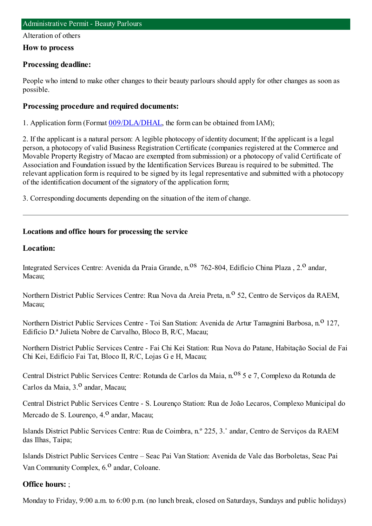#### Alteration of others

### **How to process**

# **Processing deadline:**

People who intend to make other changes to their beauty parlours should apply for other changes as soon as possible.

# **Processing procedure and required documents:**

1. Application form (Format [009/DLA/DHAL](https://www.iam.gov.mo/c/pdf/eformDetail/PDF363), the form can be obtained from IAM);

2. If the applicant is a natural person: A legible photocopy of identity document; If the applicant is a legal person, a photocopy of valid Business Registration Certificate (companies registered at the Commerce and Movable Property Registry of Macao are exempted fromsubmission) or a photocopy of valid Certificate of Association and Foundation issued by the Identification Services Bureau is required to be submitted. The relevant application formis required to be signed by its legal representative and submitted with a photocopy of the identification document of the signatory of the application form;

3. Corresponding documents depending on the situation of the itemof change.

# **Locations and office hours for processing the service**

### **Location:**

Integrated Services Centre: Avenida da Praia Grande, n.<sup>08</sup> 762-804, Edifício China Plaza, 2.<sup>0</sup> andar, Macau;

Northern District Public Services Centre: Rua Nova da Areia Preta, n.<sup>o</sup> 52, Centro de Servicos da RAEM, Macau;

Northern District Public Services Centre - Toi San Station: Avenida de Artur Tamagnini Barbosa, n.<sup>0</sup> 127, Edifício D.ª Julieta Nobre de Carvalho, Bloco B, R/C, Macau;

Northern District Public Services Centre - Fai Chi Kei Station: Rua Nova do Patane, Habitação Social de Fai Chi Kei, Edifício Fai Tat, Bloco II, R/C, Lojas G e H, Macau;

Central District Public Services Centre: Rotunda de Carlos da Maia, n.<sup>08</sup> 5 e 7, Complexo da Rotunda de Carlos da Maia,  $3<sup>0</sup>$  andar, Macau;

Central District Public Services Centre - S. Lourenço Station: Rua de João Lecaros, Complexo Municipal do Mercado de S. Lourenco,  $4<sup>o</sup>$  andar, Macau;

Islands District Public Services Centre: Rua de Coimbra, n.º 225, 3.˚ andar, Centro de Serviços da RAEM das Ilhas, Taipa;

Islands District Public Services Centre – Seac Pai Van Station: Avenida de Vale das Borboletas, Seac Pai Van Community Complex, 6.<sup>0</sup> andar, Coloane.

# **Office hours:** ;

Monday to Friday, 9:00 a.m. to 6:00 p.m. (no lunch break, closed on Saturdays, Sundays and public holidays)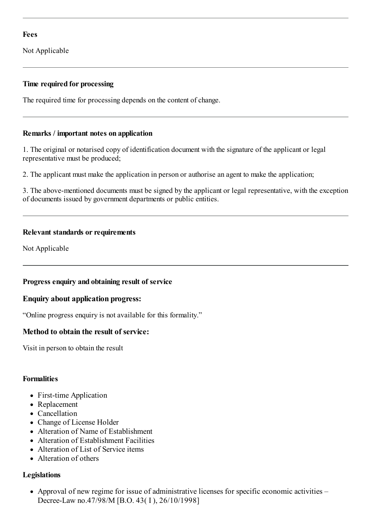### **Fees**

Not Applicable

### **Time required for processing**

The required time for processing depends on the content of change.

#### **Remarks / important notes on application**

1. The original or notarised copy of identification document with the signature of the applicant or legal representative must be produced;

2. The applicant must make the application in person or authorise an agent to make the application;

3. The above-mentioned documents must be signed by the applicant or legal representative, with the exception of documents issued by government departments or public entities.

### **Relevant standards or requirements**

Not Applicable

#### **Progress enquiry and obtaining result of service**

#### **Enquiry about application progress:**

"Online progress enquiry is not available for this formality."

# **Method to obtain the result of service:**

Visit in person to obtain the result

#### **Formalities**

- First-time Application
- Replacement
- Cancellation
- Change of License Holder
- Alteration of Name of Establishment
- Alteration of Establishment Facilities
- Alteration of List of Service items
- Alteration of others

# **Legislations**

• Approval of new regime for issue of administrative licenses for specific economic activities – Decree-Law no.47/98/M [B.O. 43( I ), 26/10/1998]